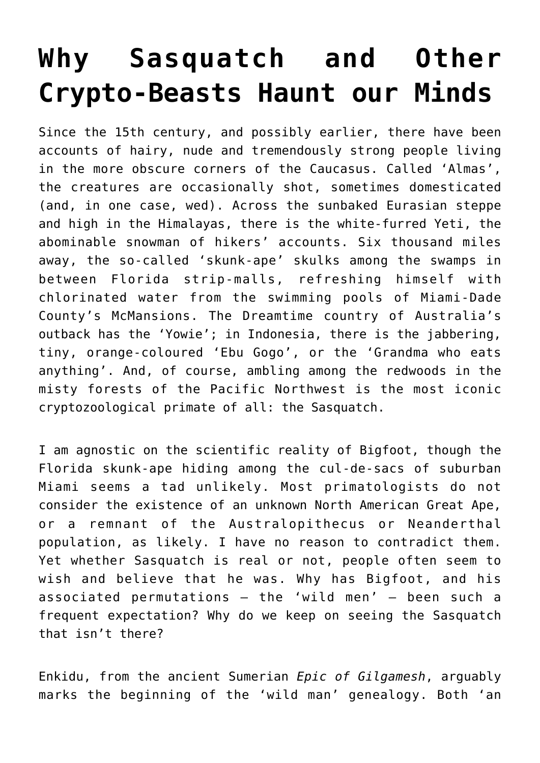## **[Why Sasquatch and Other](https://intellectualtakeout.org/2016/10/why-sasquatch-and-other-crypto-beasts-haunt-our-minds/) [Crypto-Beasts Haunt our Minds](https://intellectualtakeout.org/2016/10/why-sasquatch-and-other-crypto-beasts-haunt-our-minds/)**

Since the 15th century, and possibly earlier, there have been accounts of hairy, nude and tremendously strong people living in the more obscure corners of the Caucasus. Called 'Almas', the creatures are occasionally shot, sometimes domesticated (and, in one case, wed). Across the sunbaked Eurasian steppe and high in the Himalayas, there is the white-furred Yeti, the abominable snowman of hikers' accounts. Six thousand miles away, the so-called 'skunk-ape' skulks among the swamps in between Florida strip-malls, refreshing himself with chlorinated water from the swimming pools of Miami-Dade County's McMansions. The Dreamtime country of Australia's outback has the 'Yowie'; in Indonesia, there is the jabbering, tiny, orange-coloured 'Ebu Gogo', or the 'Grandma who eats anything'. And, of course, ambling among the redwoods in the misty forests of the Pacific Northwest is the most iconic cryptozoological primate of all: the Sasquatch.

I am agnostic on the scientific reality of Bigfoot, though the Florida skunk-ape hiding among the cul-de-sacs of suburban Miami seems a tad unlikely. Most primatologists do not consider the existence of an unknown North American Great Ape, or a remnant of the Australopithecus or Neanderthal population, as likely. I have no reason to contradict them. Yet whether Sasquatch is real or not, people often seem to wish and believe that he was. Why has Bigfoot, and his associated permutations – the 'wild men' – been such a frequent expectation? Why do we keep on seeing the Sasquatch that isn't there?

Enkidu, from the ancient Sumerian *Epic of Gilgamesh*, arguably marks the beginning of the 'wild man' genealogy. Both 'an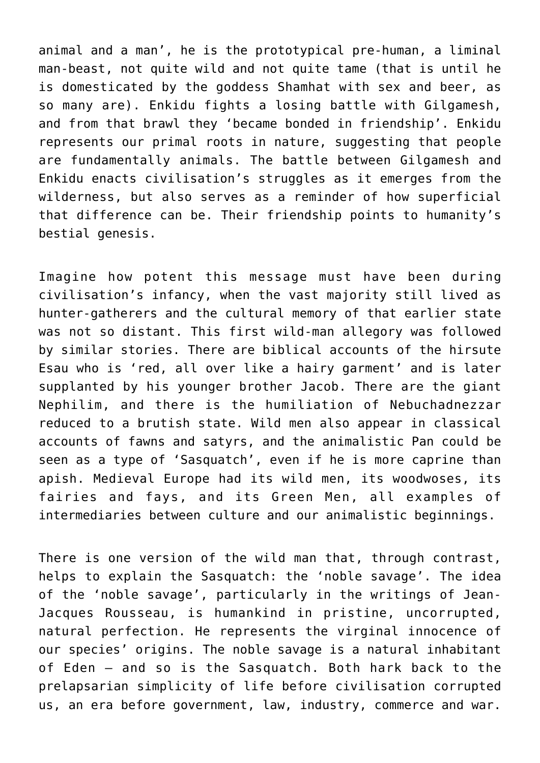animal and a man', he is the prototypical pre-human, a liminal man-beast, not quite wild and not quite tame (that is until he is domesticated by the goddess Shamhat with sex and beer, as so many are). Enkidu fights a losing battle with Gilgamesh, and from that brawl they 'became bonded in friendship'. Enkidu represents our primal roots in nature, suggesting that people are fundamentally animals. The battle between Gilgamesh and Enkidu enacts civilisation's struggles as it emerges from the wilderness, but also serves as a reminder of how superficial that difference can be. Their friendship points to humanity's bestial genesis.

Imagine how potent this message must have been during civilisation's infancy, when the vast majority still lived as hunter-gatherers and the cultural memory of that earlier state was not so distant. This first wild-man allegory was followed by similar stories. There are biblical accounts of the hirsute Esau who is 'red, all over like a hairy garment' and is later supplanted by his younger brother Jacob. There are the giant Nephilim, and there is the humiliation of Nebuchadnezzar reduced to a brutish state. Wild men also appear in classical accounts of fawns and satyrs, and the animalistic Pan could be seen as a type of 'Sasquatch', even if he is more caprine than apish. Medieval Europe had its wild men, its woodwoses, its fairies and fays, and its Green Men, all examples of intermediaries between culture and our animalistic beginnings.

There is one version of the wild man that, through contrast, helps to explain the Sasquatch: the 'noble savage'. The idea of the 'noble savage', particularly in the writings of Jean-Jacques Rousseau, is humankind in pristine, uncorrupted, natural perfection. He represents the virginal innocence of our species' origins. The noble savage is a natural inhabitant of Eden – and so is the Sasquatch. Both hark back to the prelapsarian simplicity of life before civilisation corrupted us, an era before government, law, industry, commerce and war.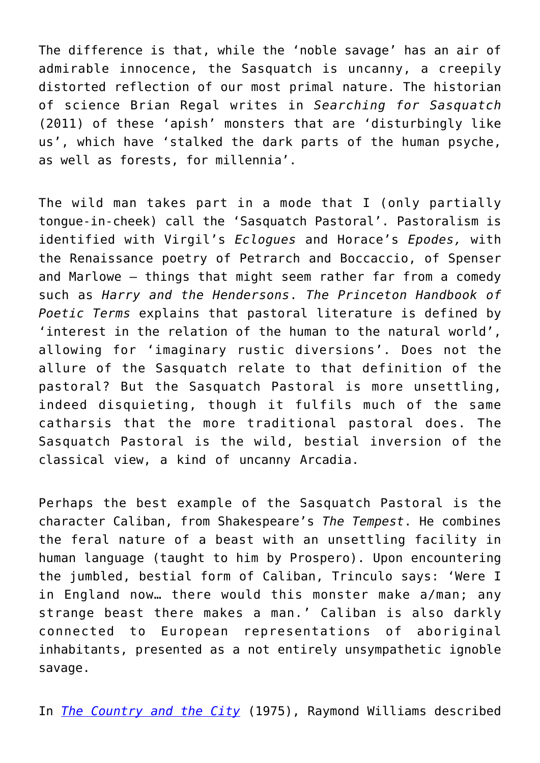The difference is that, while the 'noble savage' has an air of admirable innocence, the Sasquatch is uncanny, a creepily distorted reflection of our most primal nature. The historian of science Brian Regal writes in *Searching for Sasquatch* (2011) of these 'apish' monsters that are 'disturbingly like us', which have 'stalked the dark parts of the human psyche, as well as forests, for millennia'.

The wild man takes part in a mode that I (only partially tongue-in-cheek) call the 'Sasquatch Pastoral'. Pastoralism is identified with Virgil's *Eclogues* and Horace's *Epodes,* with the Renaissance poetry of Petrarch and Boccaccio, of Spenser and Marlowe – things that might seem rather far from a comedy such as *Harry and the Hendersons*. *The Princeton Handbook of Poetic Terms* explains that pastoral literature is defined by 'interest in the relation of the human to the natural world', allowing for 'imaginary rustic diversions'. Does not the allure of the Sasquatch relate to that definition of the pastoral? But the Sasquatch Pastoral is more unsettling, indeed disquieting, though it fulfils much of the same catharsis that the more traditional pastoral does. The Sasquatch Pastoral is the wild, bestial inversion of the classical view, a kind of uncanny Arcadia.

Perhaps the best example of the Sasquatch Pastoral is the character Caliban, from Shakespeare's *The Tempest*. He combines the feral nature of a beast with an unsettling facility in human language (taught to him by Prospero). Upon encountering the jumbled, bestial form of Caliban, Trinculo says: 'Were I in England now… there would this monster make a/man; any strange beast there makes a man.' Caliban is also darkly connected to European representations of aboriginal inhabitants, presented as a not entirely unsympathetic ignoble savage.

In *[The Country and the City](https://www.amazon.com/Country-City-Raymond-Williams/dp/0195198107/ref=as_li_ss_tl?ie=UTF8&qid=1477918720&sr=8-1&keywords=The+Country+and+the+City&linkCode=sl1&tag=intelltakeo0d-20&linkId=f7755b6fb00f0af54a2c05483ded6726)* (1975), Raymond Williams described